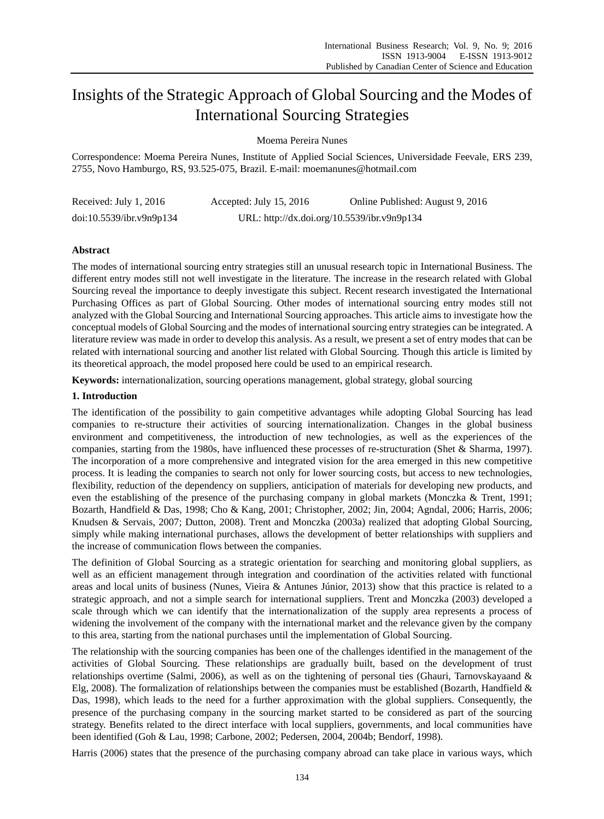# Insights of the Strategic Approach of Global Sourcing and the Modes of International Sourcing Strategies

Moema Pereira Nunes

Correspondence: Moema Pereira Nunes, Institute of Applied Social Sciences, Universidade Feevale, ERS 239, 2755, Novo Hamburgo, RS, 93.525-075, Brazil. E-mail: moemanunes@hotmail.com

| Received: July 1, 2016   | Accepted: July 15, 2016                     | Online Published: August 9, 2016 |
|--------------------------|---------------------------------------------|----------------------------------|
| doi:10.5539/ibr.v9n9p134 | URL: http://dx.doi.org/10.5539/ibr.v9n9p134 |                                  |

# **Abstract**

The modes of international sourcing entry strategies still an unusual research topic in International Business. The different entry modes still not well investigate in the literature. The increase in the research related with Global Sourcing reveal the importance to deeply investigate this subject. Recent research investigated the International Purchasing Offices as part of Global Sourcing. Other modes of international sourcing entry modes still not analyzed with the Global Sourcing and International Sourcing approaches. This article aims to investigate how the conceptual models of Global Sourcing and the modes of international sourcing entry strategies can be integrated. A literature review was made in order to develop this analysis. As a result, we present a set of entry modes that can be related with international sourcing and another list related with Global Sourcing. Though this article is limited by its theoretical approach, the model proposed here could be used to an empirical research.

**Keywords:** internationalization, sourcing operations management, global strategy, global sourcing

# **1. Introduction**

The identification of the possibility to gain competitive advantages while adopting Global Sourcing has lead companies to re-structure their activities of sourcing internationalization. Changes in the global business environment and competitiveness, the introduction of new technologies, as well as the experiences of the companies, starting from the 1980s, have influenced these processes of re-structuration (Shet & Sharma, 1997). The incorporation of a more comprehensive and integrated vision for the area emerged in this new competitive process. It is leading the companies to search not only for lower sourcing costs, but access to new technologies, flexibility, reduction of the dependency on suppliers, anticipation of materials for developing new products, and even the establishing of the presence of the purchasing company in global markets (Monczka & Trent, 1991; Bozarth, Handfield & Das, 1998; Cho & Kang, 2001; Christopher, 2002; Jin, 2004; Agndal, 2006; Harris, 2006; Knudsen & Servais, 2007; Dutton, 2008). Trent and Monczka (2003a) realized that adopting Global Sourcing, simply while making international purchases, allows the development of better relationships with suppliers and the increase of communication flows between the companies.

The definition of Global Sourcing as a strategic orientation for searching and monitoring global suppliers, as well as an efficient management through integration and coordination of the activities related with functional areas and local units of business (Nunes, Vieira & Antunes Júnior, 2013) show that this practice is related to a strategic approach, and not a simple search for international suppliers. Trent and Monczka (2003) developed a scale through which we can identify that the internationalization of the supply area represents a process of widening the involvement of the company with the international market and the relevance given by the company to this area, starting from the national purchases until the implementation of Global Sourcing.

The relationship with the sourcing companies has been one of the challenges identified in the management of the activities of Global Sourcing. These relationships are gradually built, based on the development of trust relationships overtime (Salmi, 2006), as well as on the tightening of personal ties (Ghauri, Tarnovskayaand & Elg, 2008). The formalization of relationships between the companies must be established (Bozarth, Handfield & Das, 1998), which leads to the need for a further approximation with the global suppliers. Consequently, the presence of the purchasing company in the sourcing market started to be considered as part of the sourcing strategy. Benefits related to the direct interface with local suppliers, governments, and local communities have been identified (Goh & Lau, 1998; Carbone, 2002; Pedersen, 2004, 2004b; Bendorf, 1998).

Harris (2006) states that the presence of the purchasing company abroad can take place in various ways, which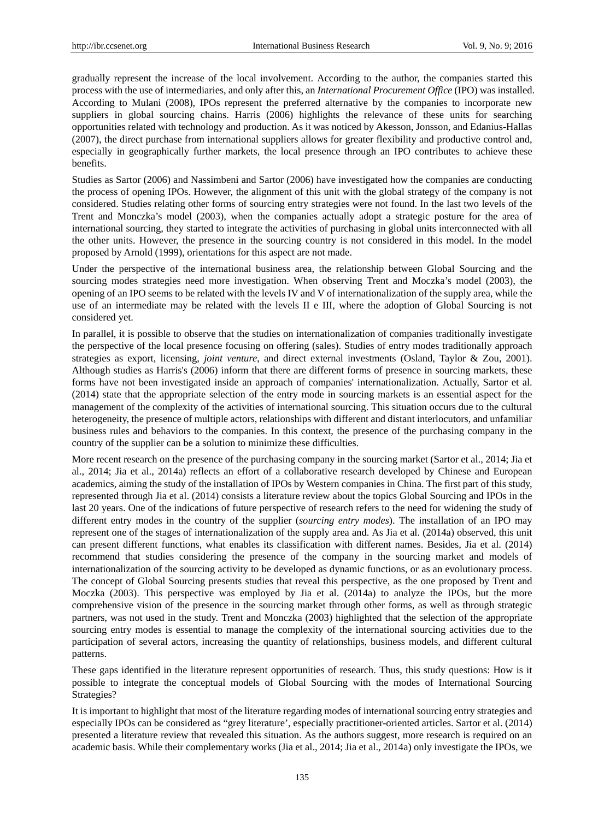gradually represent the increase of the local involvement. According to the author, the companies started this process with the use of intermediaries, and only after this, an *International Procurement Office* (IPO) was installed. According to Mulani (2008), IPOs represent the preferred alternative by the companies to incorporate new suppliers in global sourcing chains. Harris (2006) highlights the relevance of these units for searching opportunities related with technology and production. As it was noticed by Akesson, Jonsson, and Edanius-Hallas (2007), the direct purchase from international suppliers allows for greater flexibility and productive control and, especially in geographically further markets, the local presence through an IPO contributes to achieve these benefits.

Studies as Sartor (2006) and Nassimbeni and Sartor (2006) have investigated how the companies are conducting the process of opening IPOs. However, the alignment of this unit with the global strategy of the company is not considered. Studies relating other forms of sourcing entry strategies were not found. In the last two levels of the Trent and Monczka's model (2003), when the companies actually adopt a strategic posture for the area of international sourcing, they started to integrate the activities of purchasing in global units interconnected with all the other units. However, the presence in the sourcing country is not considered in this model. In the model proposed by Arnold (1999), orientations for this aspect are not made.

Under the perspective of the international business area, the relationship between Global Sourcing and the sourcing modes strategies need more investigation. When observing Trent and Moczka's model (2003), the opening of an IPO seems to be related with the levels IV and V of internationalization of the supply area, while the use of an intermediate may be related with the levels II e III, where the adoption of Global Sourcing is not considered yet.

In parallel, it is possible to observe that the studies on internationalization of companies traditionally investigate the perspective of the local presence focusing on offering (sales). Studies of entry modes traditionally approach strategies as export, licensing, *joint venture*, and direct external investments (Osland, Taylor & Zou, 2001). Although studies as Harris's (2006) inform that there are different forms of presence in sourcing markets, these forms have not been investigated inside an approach of companies' internationalization. Actually, Sartor et al. (2014) state that the appropriate selection of the entry mode in sourcing markets is an essential aspect for the management of the complexity of the activities of international sourcing. This situation occurs due to the cultural heterogeneity, the presence of multiple actors, relationships with different and distant interlocutors, and unfamiliar business rules and behaviors to the companies. In this context, the presence of the purchasing company in the country of the supplier can be a solution to minimize these difficulties.

More recent research on the presence of the purchasing company in the sourcing market (Sartor et al., 2014; Jia et al., 2014; Jia et al., 2014a) reflects an effort of a collaborative research developed by Chinese and European academics, aiming the study of the installation of IPOs by Western companies in China. The first part of this study, represented through Jia et al. (2014) consists a literature review about the topics Global Sourcing and IPOs in the last 20 years. One of the indications of future perspective of research refers to the need for widening the study of different entry modes in the country of the supplier (*sourcing entry modes*). The installation of an IPO may represent one of the stages of internationalization of the supply area and. As Jia et al. (2014a) observed, this unit can present different functions, what enables its classification with different names. Besides, Jia et al. (2014) recommend that studies considering the presence of the company in the sourcing market and models of internationalization of the sourcing activity to be developed as dynamic functions, or as an evolutionary process. The concept of Global Sourcing presents studies that reveal this perspective, as the one proposed by Trent and Moczka (2003). This perspective was employed by Jia et al. (2014a) to analyze the IPOs, but the more comprehensive vision of the presence in the sourcing market through other forms, as well as through strategic partners, was not used in the study. Trent and Monczka (2003) highlighted that the selection of the appropriate sourcing entry modes is essential to manage the complexity of the international sourcing activities due to the participation of several actors, increasing the quantity of relationships, business models, and different cultural patterns.

These gaps identified in the literature represent opportunities of research. Thus, this study questions: How is it possible to integrate the conceptual models of Global Sourcing with the modes of International Sourcing Strategies?

It is important to highlight that most of the literature regarding modes of international sourcing entry strategies and especially IPOs can be considered as "grey literature', especially practitioner-oriented articles. Sartor et al. (2014) presented a literature review that revealed this situation. As the authors suggest, more research is required on an academic basis. While their complementary works (Jia et al., 2014; Jia et al., 2014a) only investigate the IPOs, we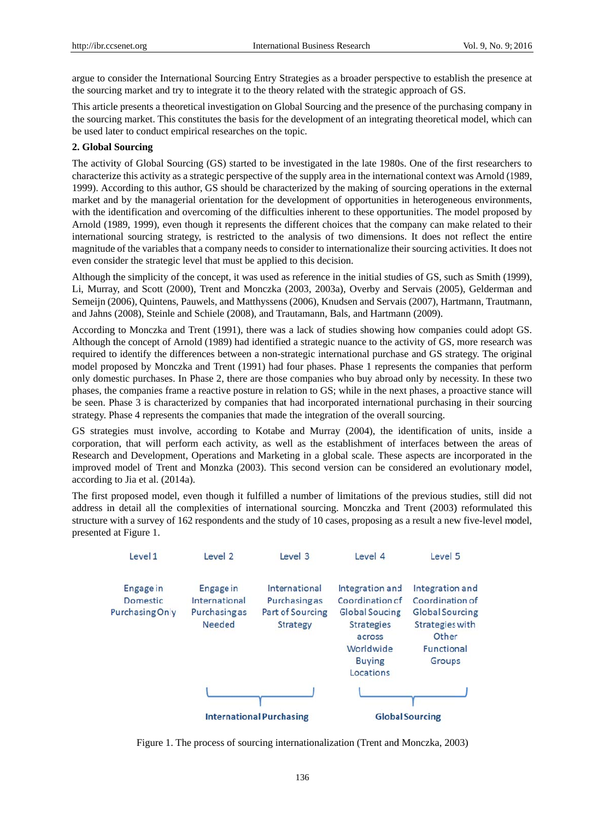argue to consider the International Sourcing Entry Strategies as a broader perspective to establish the presence at the sourcing market and try to integrate it to the theory related with the strategic approach of GS.

This article presents a theoretical investigation on Global Sourcing and the presence of the purchasing company in the sourcing market. This constitutes the basis for the development of an integrating theoretical model, which can be used later to conduct empirical researches on the topic.

# 2. Global Sourcing

The activity of Global Sourcing (GS) started to be investigated in the late 1980s. One of the first researchers to characterize this activity as a strategic perspective of the supply area in the international context was Arnold (1989, 1999). According to this author, GS should be characterized by the making of sourcing operations in the external market and by the managerial orientation for the development of opportunities in heterogeneous environments, with the identification and overcoming of the difficulties inherent to these opportunities. The model proposed by Arnold (1989, 1999), even though it represents the different choices that the company can make related to their international sourcing strategy, is restricted to the analysis of two dimensions. It does not reflect the entire magnitude of the variables that a company needs to consider to internationalize their sourcing activities. It does not even consider the strategic level that must be applied to this decision.

Although the simplicity of the concept, it was used as reference in the initial studies of GS, such as Smith (1999), Li, Murray, and Scott (2000), Trent and Monczka (2003, 2003a), Overby and Servais (2005), Gelderman and Semeijn (2006), Quintens, Pauwels, and Matthyssens (2006), Knudsen and Servais (2007), Hartmann, Trautmann, and Jahns (2008), Steinle and Schiele (2008), and Trautamann, Bals, and Hartmann (2009).

According to Monczka and Trent (1991), there was a lack of studies showing how companies could adopt GS. Although the concept of Arnold (1989) had identified a strategic nuance to the activity of GS, more research was required to identify the differences between a non-strategic international purchase and GS strategy. The original model proposed by Monczka and Trent (1991) had four phases. Phase 1 represents the companies that perform only domestic purchases. In Phase 2, there are those companies who buy abroad only by necessity. In these two phases, the companies frame a reactive posture in relation to GS; while in the next phases, a proactive stance will be seen. Phase 3 is characterized by companies that had incorporated international purchasing in their sourcing strategy. Phase 4 represents the companies that made the integration of the overall sourcing.

GS strategies must involve, according to Kotabe and Murray (2004), the identification of units, inside a corporation, that will perform each activity, as well as the establishment of interfaces between the areas of Research and Development, Operations and Marketing in a global scale. These aspects are incorporated in the improved model of Trent and Monzka (2003). This second version can be considered an evolutionary model, according to Jia et al. (2014a).

The first proposed model, even though it fulfilled a number of limitations of the previous studies, still did not address in detail all the complexities of international sourcing. Monczka and Trent (2003) reformulated this structure with a survey of 162 respondents and the study of 10 cases, proposing as a result a new five-level model, presented at Figure 1.



Figure 1. The process of sourcing internationalization (Trent and Monczka, 2003)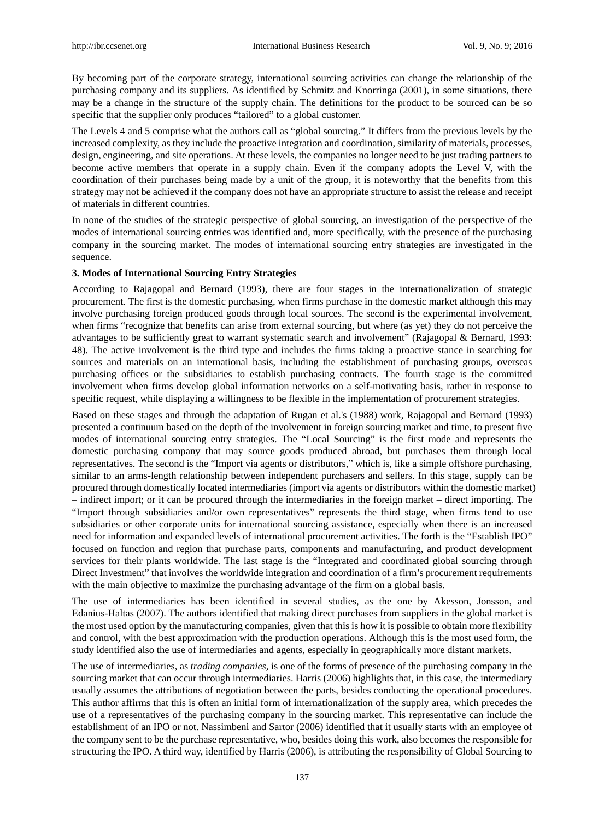By becoming part of the corporate strategy, international sourcing activities can change the relationship of the purchasing company and its suppliers. As identified by Schmitz and Knorringa (2001), in some situations, there may be a change in the structure of the supply chain. The definitions for the product to be sourced can be so specific that the supplier only produces "tailored" to a global customer.

The Levels 4 and 5 comprise what the authors call as "global sourcing." It differs from the previous levels by the increased complexity, as they include the proactive integration and coordination, similarity of materials, processes, design, engineering, and site operations. At these levels, the companies no longer need to be just trading partners to become active members that operate in a supply chain. Even if the company adopts the Level V, with the coordination of their purchases being made by a unit of the group, it is noteworthy that the benefits from this strategy may not be achieved if the company does not have an appropriate structure to assist the release and receipt of materials in different countries.

In none of the studies of the strategic perspective of global sourcing, an investigation of the perspective of the modes of international sourcing entries was identified and, more specifically, with the presence of the purchasing company in the sourcing market. The modes of international sourcing entry strategies are investigated in the sequence.

#### **3. Modes of International Sourcing Entry Strategies**

According to Rajagopal and Bernard (1993), there are four stages in the internationalization of strategic procurement. The first is the domestic purchasing, when firms purchase in the domestic market although this may involve purchasing foreign produced goods through local sources. The second is the experimental involvement, when firms "recognize that benefits can arise from external sourcing, but where (as yet) they do not perceive the advantages to be sufficiently great to warrant systematic search and involvement" (Rajagopal & Bernard, 1993: 48). The active involvement is the third type and includes the firms taking a proactive stance in searching for sources and materials on an international basis, including the establishment of purchasing groups, overseas purchasing offices or the subsidiaries to establish purchasing contracts. The fourth stage is the committed involvement when firms develop global information networks on a self-motivating basis, rather in response to specific request, while displaying a willingness to be flexible in the implementation of procurement strategies.

Based on these stages and through the adaptation of Rugan et al.'s (1988) work, Rajagopal and Bernard (1993) presented a continuum based on the depth of the involvement in foreign sourcing market and time, to present five modes of international sourcing entry strategies. The "Local Sourcing" is the first mode and represents the domestic purchasing company that may source goods produced abroad, but purchases them through local representatives. The second is the "Import via agents or distributors," which is, like a simple offshore purchasing, similar to an arms-length relationship between independent purchasers and sellers. In this stage, supply can be procured through domestically located intermediaries (import via agents or distributors within the domestic market) – indirect import; or it can be procured through the intermediaries in the foreign market – direct importing. The "Import through subsidiaries and/or own representatives" represents the third stage, when firms tend to use subsidiaries or other corporate units for international sourcing assistance, especially when there is an increased need for information and expanded levels of international procurement activities. The forth is the "Establish IPO" focused on function and region that purchase parts, components and manufacturing, and product development services for their plants worldwide. The last stage is the "Integrated and coordinated global sourcing through Direct Investment" that involves the worldwide integration and coordination of a firm's procurement requirements with the main objective to maximize the purchasing advantage of the firm on a global basis.

The use of intermediaries has been identified in several studies, as the one by Akesson, Jonsson, and Edanius-Haltas (2007). The authors identified that making direct purchases from suppliers in the global market is the most used option by the manufacturing companies, given that this is how it is possible to obtain more flexibility and control, with the best approximation with the production operations. Although this is the most used form, the study identified also the use of intermediaries and agents, especially in geographically more distant markets.

The use of intermediaries, as *trading companies,* is one of the forms of presence of the purchasing company in the sourcing market that can occur through intermediaries. Harris (2006) highlights that, in this case, the intermediary usually assumes the attributions of negotiation between the parts, besides conducting the operational procedures. This author affirms that this is often an initial form of internationalization of the supply area, which precedes the use of a representatives of the purchasing company in the sourcing market. This representative can include the establishment of an IPO or not. Nassimbeni and Sartor (2006) identified that it usually starts with an employee of the company sent to be the purchase representative, who, besides doing this work, also becomes the responsible for structuring the IPO. A third way, identified by Harris (2006), is attributing the responsibility of Global Sourcing to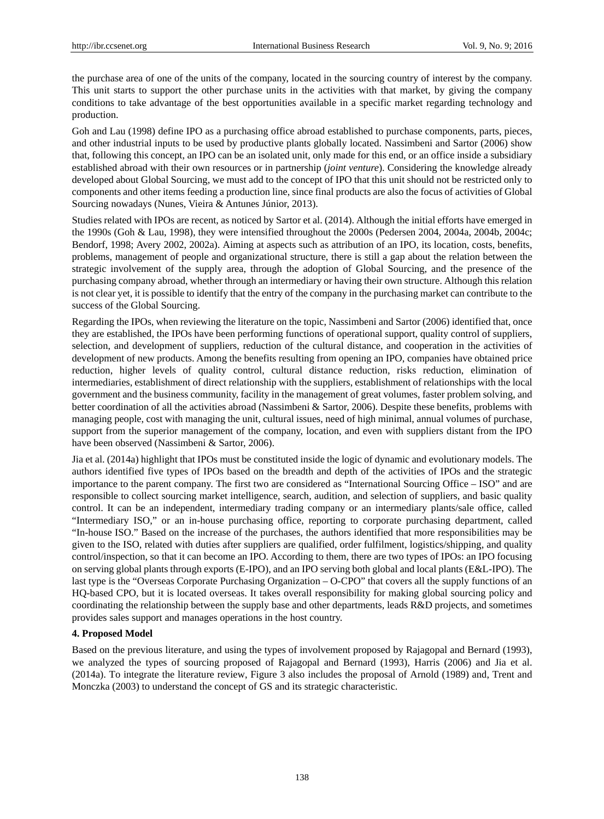the purchase area of one of the units of the company, located in the sourcing country of interest by the company. This unit starts to support the other purchase units in the activities with that market, by giving the company conditions to take advantage of the best opportunities available in a specific market regarding technology and production.

Goh and Lau (1998) define IPO as a purchasing office abroad established to purchase components, parts, pieces, and other industrial inputs to be used by productive plants globally located. Nassimbeni and Sartor (2006) show that, following this concept, an IPO can be an isolated unit, only made for this end, or an office inside a subsidiary established abroad with their own resources or in partnership (*joint venture*). Considering the knowledge already developed about Global Sourcing, we must add to the concept of IPO that this unit should not be restricted only to components and other items feeding a production line, since final products are also the focus of activities of Global Sourcing nowadays (Nunes, Vieira & Antunes Júnior, 2013).

Studies related with IPOs are recent, as noticed by Sartor et al. (2014). Although the initial efforts have emerged in the 1990s (Goh & Lau, 1998), they were intensified throughout the 2000s (Pedersen 2004, 2004a, 2004b, 2004c; Bendorf, 1998; Avery 2002, 2002a). Aiming at aspects such as attribution of an IPO, its location, costs, benefits, problems, management of people and organizational structure, there is still a gap about the relation between the strategic involvement of the supply area, through the adoption of Global Sourcing, and the presence of the purchasing company abroad, whether through an intermediary or having their own structure. Although this relation is not clear yet, it is possible to identify that the entry of the company in the purchasing market can contribute to the success of the Global Sourcing.

Regarding the IPOs, when reviewing the literature on the topic, Nassimbeni and Sartor (2006) identified that, once they are established, the IPOs have been performing functions of operational support, quality control of suppliers, selection, and development of suppliers, reduction of the cultural distance, and cooperation in the activities of development of new products. Among the benefits resulting from opening an IPO, companies have obtained price reduction, higher levels of quality control, cultural distance reduction, risks reduction, elimination of intermediaries, establishment of direct relationship with the suppliers, establishment of relationships with the local government and the business community, facility in the management of great volumes, faster problem solving, and better coordination of all the activities abroad (Nassimbeni & Sartor, 2006). Despite these benefits, problems with managing people, cost with managing the unit, cultural issues, need of high minimal, annual volumes of purchase, support from the superior management of the company, location, and even with suppliers distant from the IPO have been observed (Nassimbeni & Sartor, 2006).

Jia et al. (2014a) highlight that IPOs must be constituted inside the logic of dynamic and evolutionary models. The authors identified five types of IPOs based on the breadth and depth of the activities of IPOs and the strategic importance to the parent company. The first two are considered as "International Sourcing Office – ISO" and are responsible to collect sourcing market intelligence, search, audition, and selection of suppliers, and basic quality control. It can be an independent, intermediary trading company or an intermediary plants/sale office, called "Intermediary ISO," or an in-house purchasing office, reporting to corporate purchasing department, called "In-house ISO." Based on the increase of the purchases, the authors identified that more responsibilities may be given to the ISO, related with duties after suppliers are qualified, order fulfilment, logistics/shipping, and quality control/inspection, so that it can become an IPO. According to them, there are two types of IPOs: an IPO focusing on serving global plants through exports (E-IPO), and an IPO serving both global and local plants (E&L-IPO). The last type is the "Overseas Corporate Purchasing Organization – O-CPO" that covers all the supply functions of an HQ-based CPO, but it is located overseas. It takes overall responsibility for making global sourcing policy and coordinating the relationship between the supply base and other departments, leads R&D projects, and sometimes provides sales support and manages operations in the host country.

### **4. Proposed Model**

Based on the previous literature, and using the types of involvement proposed by Rajagopal and Bernard (1993), we analyzed the types of sourcing proposed of Rajagopal and Bernard (1993), Harris (2006) and Jia et al. (2014a). To integrate the literature review, Figure 3 also includes the proposal of Arnold (1989) and, Trent and Monczka (2003) to understand the concept of GS and its strategic characteristic.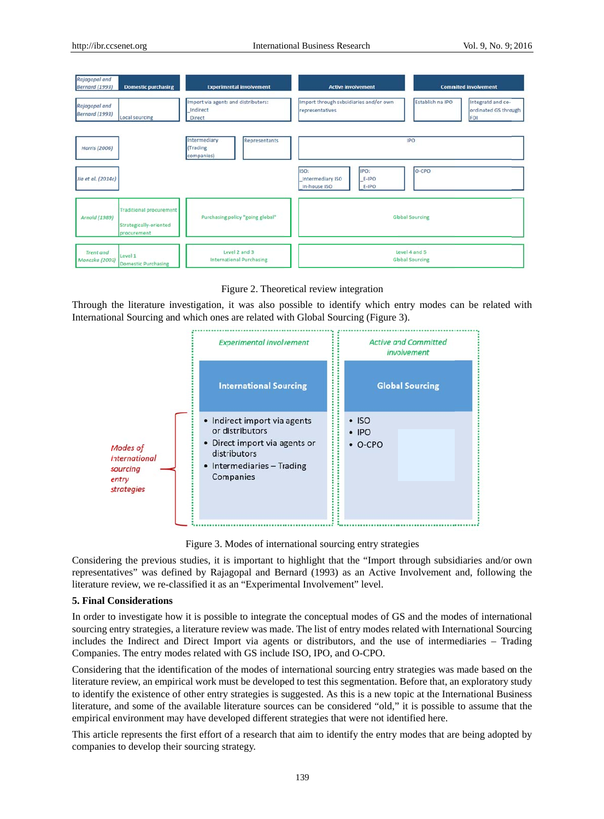

Figure 2. Theoretical review integration

Through the literature investigation, it was also possible to identify which entry modes can be related with International Sourcing and which ones are related with Global Sourcing (Figure 3).



Figure 3. Modes of international sourcing entry strategies

Considering the previous studies, it is important to highlight that the "Import through subsidiaries and/or own representatives" was defined by Rajagopal and Bernard (1993) as an Active Involvement and, following the literature review, we re-classified it as an "Experimental Involvement" level.

# **5. Final Considerations**

In order to investigate how it is possible to integrate the conceptual modes of GS and the modes of international sourcing entry strategies, a literature review was made. The list of entry modes related with International Sourcing includes the Indirect and Direct Import via agents or distributors, and the use of intermediaries – Trading Companies. The entry modes related with GS include ISO, IPO, and O-CPO.

Considering that the identification of the modes of international sourcing entry strategies was made based on the literature review, an empirical work must be developed to test this segmentation. Before that, an exploratory study to identify the existence of other entry strategies is suggested. As this is a new topic at the International Business literature, and some of the available literature sources can be considered "old," it is possible to assume that the empirical environment may have developed different strategies that were not identified here.

This article represents the first effort of a research that aim to identify the entry modes that are being adopted by companies to develop their sourcing strategy.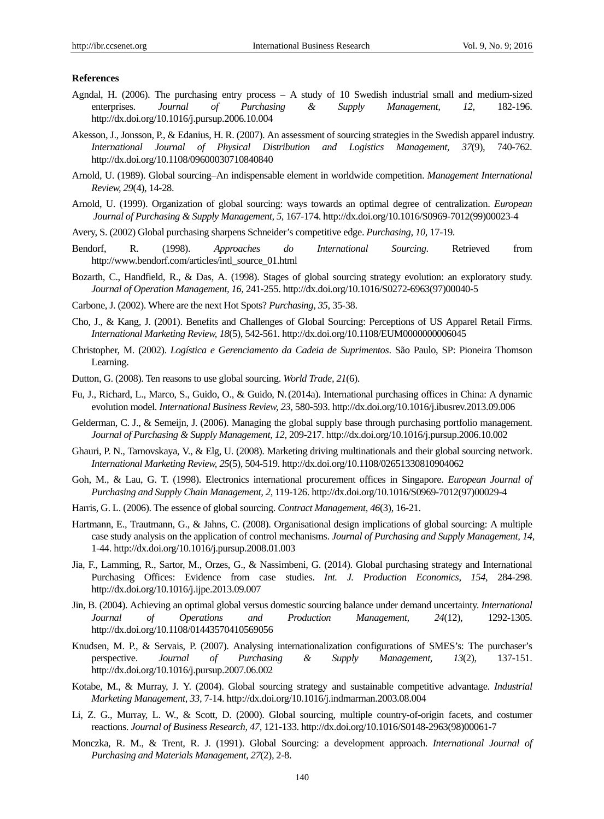## **References**

- Agndal, H. (2006). The purchasing entry process A study of 10 Swedish industrial small and medium-sized enterprises. *Journal of Purchasing & Supply Management, 12,* 182-196. http://dx.doi.org/10.1016/j.pursup.2006.10.004
- Akesson, J., Jonsson, P., & Edanius, H. R. (2007). An assessment of sourcing strategies in the Swedish apparel industry. *International Journal of Physical Distribution and Logistics Management, 37*(9)*,* 740-762. http://dx.doi.org/10.1108/09600030710840840
- Arnold, U. (1989). Global sourcing–An indispensable element in worldwide competition. *Management International Review, 29*(4), 14-28.
- Arnold, U. (1999). Organization of global sourcing: ways towards an optimal degree of centralization. *European Journal of Purchasing & Supply Management, 5,* 167-174. http://dx.doi.org/10.1016/S0969-7012(99)00023-4
- Avery, S. (2002) Global purchasing sharpens Schneider's competitive edge. *Purchasing, 10,* 17-19.
- Bendorf, R. (1998). *Approaches do International Sourcing*. Retrieved from http://www.bendorf.com/articles/intl\_source\_01.html
- Bozarth, C., Handfield, R., & Das, A. (1998). Stages of global sourcing strategy evolution: an exploratory study. *Journal of Operation Management, 16,* 241-255. http://dx.doi.org/10.1016/S0272-6963(97)00040-5
- Carbone, J. (2002). Where are the next Hot Spots? *Purchasing, 35,* 35-38.
- Cho, J., & Kang, J. (2001). Benefits and Challenges of Global Sourcing: Perceptions of US Apparel Retail Firms. *International Marketing Review, 18*(5), 542-561. http://dx.doi.org/10.1108/EUM0000000006045
- Christopher, M. (2002). *Logística e Gerenciamento da Cadeia de Suprimentos*. São Paulo, SP: Pioneira Thomson Learning.
- Dutton, G. (2008). Ten reasons to use global sourcing. *World Trade, 21*(6).
- Fu, J., Richard, L., Marco, S., Guido, O., & Guido, N.(2014a). International purchasing offices in China: A dynamic evolution model. *International Business Review, 23,* 580-593. http://dx.doi.org/10.1016/j.ibusrev.2013.09.006
- Gelderman, C. J., & Semeijn, J. (2006). Managing the global supply base through purchasing portfolio management. *Journal of Purchasing & Supply Management, 12,* 209-217. http://dx.doi.org/10.1016/j.pursup.2006.10.002
- Ghauri, P. N., Tarnovskaya, V., & Elg, U. (2008). Marketing driving multinationals and their global sourcing network. *International Marketing Review, 25*(5), 504-519. http://dx.doi.org/10.1108/02651330810904062
- Goh, M., & Lau, G. T. (1998). Electronics international procurement offices in Singapore. *European Journal of Purchasing and Supply Chain Management, 2,* 119-126. http://dx.doi.org/10.1016/S0969-7012(97)00029-4
- Harris, G. L. (2006). The essence of global sourcing. *Contract Management, 46*(3), 16-21.
- Hartmann, E., Trautmann, G., & Jahns, C. (2008). Organisational design implications of global sourcing: A multiple case study analysis on the application of control mechanisms. *Journal of Purchasing and Supply Management, 14,*  1-44. http://dx.doi.org/10.1016/j.pursup.2008.01.003
- Jia, F., Lamming, R., Sartor, M., Orzes, G., & Nassimbeni, G. (2014). Global purchasing strategy and International Purchasing Offices: Evidence from case studies. *Int. J. Production Economics, 154,* 284-298. http://dx.doi.org/10.1016/j.ijpe.2013.09.007
- Jin, B. (2004). Achieving an optimal global versus domestic sourcing balance under demand uncertainty. *International Journal of Operations and Production Management, 24*(12), 1292-1305. http://dx.doi.org/10.1108/01443570410569056
- Knudsen, M. P., & Servais, P. (2007). Analysing internationalization configurations of SMES's: The purchaser's perspective. *Journal of Purchasing & Supply Management, 13*(2), 137-151. http://dx.doi.org/10.1016/j.pursup.2007.06.002
- Kotabe, M., & Murray, J. Y. (2004). Global sourcing strategy and sustainable competitive advantage. *Industrial Marketing Management, 33,* 7-14. http://dx.doi.org/10.1016/j.indmarman.2003.08.004
- Li, Z. G., Murray, L. W., & Scott, D. (2000). Global sourcing, multiple country-of-origin facets, and costumer reactions. *Journal of Business Research, 47,* 121-133. http://dx.doi.org/10.1016/S0148-2963(98)00061-7
- Monczka, R. M., & Trent, R. J. (1991). Global Sourcing: a development approach. *International Journal of Purchasing and Materials Management, 27*(2)*,* 2-8.